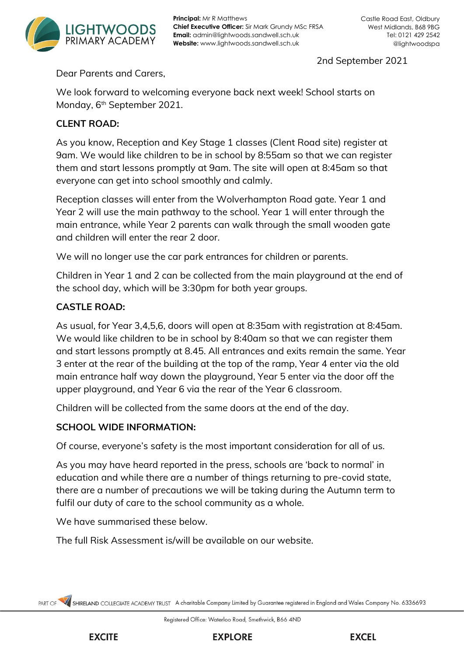

**Principal:** Mr R Matthews **Chief Executive Officer:** Sir Mark Grundy MSc FRSA **Email:** admin@lightwoods.sandwell.sch.uk **Website:** www.lightwoods.sandwell.sch.uk

2nd September 2021

Dear Parents and Carers,

We look forward to welcoming everyone back next week! School starts on Monday, 6<sup>th</sup> September 2021.

# **CLENT ROAD:**

As you know, Reception and Key Stage 1 classes (Clent Road site) register at 9am. We would like children to be in school by 8:55am so that we can register them and start lessons promptly at 9am. The site will open at 8:45am so that everyone can get into school smoothly and calmly.

Reception classes will enter from the Wolverhampton Road gate. Year 1 and Year 2 will use the main pathway to the school. Year 1 will enter through the main entrance, while Year 2 parents can walk through the small wooden gate and children will enter the rear 2 door.

We will no longer use the car park entrances for children or parents.

Children in Year 1 and 2 can be collected from the main playground at the end of the school day, which will be 3:30pm for both year groups.

# **CASTLE ROAD:**

As usual, for Year 3,4,5,6, doors will open at 8:35am with registration at 8:45am. We would like children to be in school by 8:40am so that we can register them and start lessons promptly at 8.45. All entrances and exits remain the same. Year 3 enter at the rear of the building at the top of the ramp, Year 4 enter via the old main entrance half way down the playground, Year 5 enter via the door off the upper playground, and Year 6 via the rear of the Year 6 classroom.

Children will be collected from the same doors at the end of the day.

# **SCHOOL WIDE INFORMATION:**

Of course, everyone's safety is the most important consideration for all of us.

As you may have heard reported in the press, schools are 'back to normal' in education and while there are a number of things returning to pre-covid state, there are a number of precautions we will be taking during the Autumn term to fulfil our duty of care to the school community as a whole.

We have summarised these below.

The full Risk Assessment is/will be available on our website.

SHIRELAND COLLEGIATE ACADEMY TRUST A charitable Company Limited by Guarantee registered in England and Wales Company No. 6336693 PART OF

**EXPLORE** 

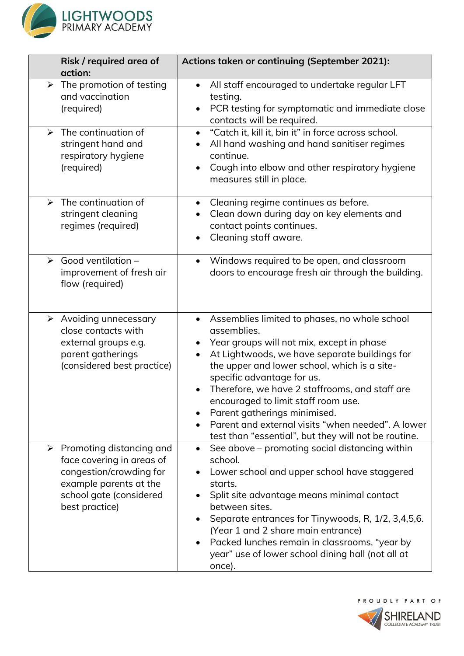

| Risk / required area of<br>action:                                                                                                                                               | <b>Actions taken or continuing (September 2021):</b>                                                                                                                                                                                                                                                                                                                                                                                                                                                       |
|----------------------------------------------------------------------------------------------------------------------------------------------------------------------------------|------------------------------------------------------------------------------------------------------------------------------------------------------------------------------------------------------------------------------------------------------------------------------------------------------------------------------------------------------------------------------------------------------------------------------------------------------------------------------------------------------------|
| The promotion of testing<br>$\blacktriangleright$<br>and vaccination<br>(required)                                                                                               | All staff encouraged to undertake regular LFT<br>$\bullet$<br>testing.<br>PCR testing for symptomatic and immediate close<br>$\bullet$<br>contacts will be required.                                                                                                                                                                                                                                                                                                                                       |
| $\triangleright$ The continuation of<br>stringent hand and<br>respiratory hygiene<br>(required)                                                                                  | "Catch it, kill it, bin it" in force across school.<br>$\bullet$<br>All hand washing and hand sanitiser regimes<br>continue.<br>Cough into elbow and other respiratory hygiene<br>$\bullet$<br>measures still in place.                                                                                                                                                                                                                                                                                    |
| $\triangleright$ The continuation of<br>stringent cleaning<br>regimes (required)                                                                                                 | Cleaning regime continues as before.<br>$\bullet$<br>Clean down during day on key elements and<br>contact points continues.<br>Cleaning staff aware.                                                                                                                                                                                                                                                                                                                                                       |
| $\triangleright$ Good ventilation –<br>improvement of fresh air<br>flow (required)                                                                                               | Windows required to be open, and classroom<br>$\bullet$<br>doors to encourage fresh air through the building.                                                                                                                                                                                                                                                                                                                                                                                              |
| $\triangleright$ Avoiding unnecessary<br>close contacts with<br>external groups e.g.<br>parent gatherings<br>(considered best practice)                                          | Assemblies limited to phases, no whole school<br>$\bullet$<br>assemblies.<br>• Year groups will not mix, except in phase<br>At Lightwoods, we have separate buildings for<br>the upper and lower school, which is a site-<br>specific advantage for us.<br>Therefore, we have 2 staffrooms, and staff are<br>encouraged to limit staff room use.<br>Parent gatherings minimised.<br>$\bullet$<br>Parent and external visits "when needed". A lower<br>test than "essential", but they will not be routine. |
| Promoting distancing and<br>$\blacktriangleright$<br>face covering in areas of<br>congestion/crowding for<br>example parents at the<br>school gate (considered<br>best practice) | See above – promoting social distancing within<br>$\bullet$<br>school.<br>Lower school and upper school have staggered<br>starts.<br>Split site advantage means minimal contact<br>between sites.<br>Separate entrances for Tinywoods, R, 1/2, 3,4,5,6.<br>(Year 1 and 2 share main entrance)<br>Packed lunches remain in classrooms, "year by<br>year" use of lower school dining hall (not all at<br>once).                                                                                              |

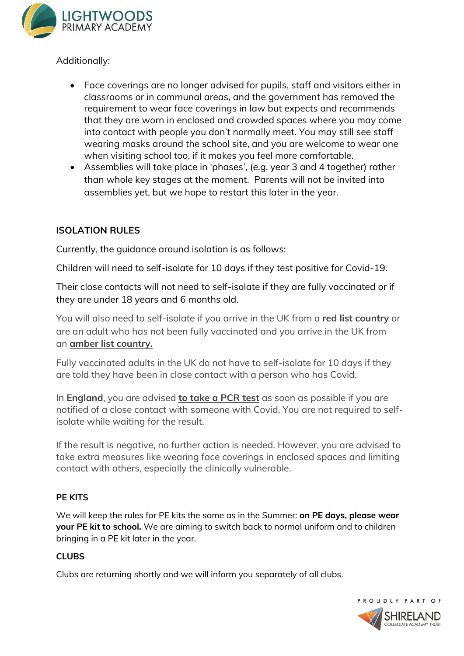

#### Additionally:

- Face coverings are no longer advised for pupils, staff and visitors either in classrooms or in communal areas, and the government has removed the requirement to wear face coverings in law but expects and recommends that they are worn in enclosed and crowded spaces where you may come into contact with people you don't normally meet. You may still see staff wearing masks around the school site, and you are welcome to wear one when visiting school too, if it makes you feel more comfortable.
- Assemblies will take place in 'phases', (e.g. year 3 and 4 together) rather than whole key stages at the moment. Parents will not be invited into assemblies yet, but we hope to restart this later in the year.

# **ISOLATION RULES**

Currently, the guidance around isolation is as follows:

Children will need to self-isolate for 10 days if they test positive for Covid-19.

Their close contacts will not need to self-isolate if they are fully vaccinated or if they are under 18 years and 6 months old.

You will also need to self-isolate if you arrive in the UK from a **red list [country](https://www.gov.uk/guidance/red-amber-and-green-list-rules-for-entering-england#red-list)** or are an adult who has not been fully vaccinated and you arrive in the UK from an **amber list [country.](https://www.gov.uk/guidance/red-amber-and-green-list-rules-for-entering-england#amber-list)**

Fully vaccinated adults in the UK do not have to self-isolate for 10 days if they are told they have been in close contact with a person who has Covid.

In **England**, you are advised **to [take](https://www.bbc.co.uk/news/health-51943612) a PCR test** as soon as possible if you are notified of a close contact with someone with Covid. You are not required to selfisolate while waiting for the result.

If the result is negative, no further action is needed. However, you are advised to take extra measures like wearing face coverings in enclosed spaces and limiting contact with others, especially the clinically vulnerable.

#### **PE KITS**

We will keep the rules for PE kits the same as in the Summer: **on PE days, please wear your PE kit to school.** We are aiming to switch back to normal uniform and to children bringing in a PE kit later in the year.

#### **CLUBS**

Clubs are returning shortly and we will inform you separately of all clubs.